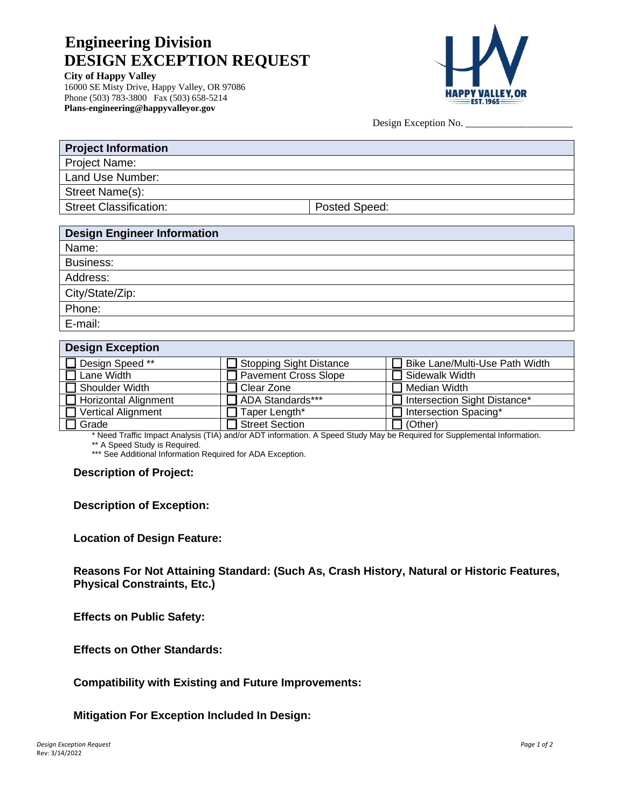## **Engineering Division DESIGN EXCEPTION REQUEST**

**City of Happy Valley**

16000 SE Misty Drive, Happy Valley, OR 97086 Phone (503) 783-3800 Fax (503) 658-5214 **Plans-engineering@happyvalleyor.gov**



Design Exception No.

| <b>Project Information</b>    |               |
|-------------------------------|---------------|
| Project Name:                 |               |
| Land Use Number:              |               |
| Street Name(s):               |               |
| <b>Street Classification:</b> | Posted Speed: |

| <b>Design Engineer Information</b> |
|------------------------------------|
| Name:                              |
| Business:                          |
| Address:                           |
| City/State/Zip:                    |
| Phone:                             |
| E-mail:                            |

| <b>Design Exception</b>     |                                  |                                |
|-----------------------------|----------------------------------|--------------------------------|
| Design Speed **             | <b>J Stopping Sight Distance</b> | Bike Lane/Multi-Use Path Width |
| Lane Width                  | <b>Pavement Cross Slope</b>      | Sidewalk Width                 |
| Shoulder Width              | Clear Zone                       | Median Width                   |
| <b>Horizontal Alignment</b> | <b>ADA Standards***</b>          | Intersection Sight Distance*   |
| <b>Vertical Alignment</b>   | Taper Length*                    | Intersection Spacing*          |
| Grade                       | <b>Street Section</b>            | (Other)                        |

\* Need Traffic Impact Analysis (TIA) and/or ADT information. A Speed Study May be Required for Supplemental Information.

\*\* A Speed Study is Required.

\*\*\* See Additional Information Required for ADA Exception.

**Description of Project:**

**Description of Exception:**

**Location of Design Feature:** 

**Reasons For Not Attaining Standard: (Such As, Crash History, Natural or Historic Features, Physical Constraints, Etc.)**

**Effects on Public Safety:** 

**Effects on Other Standards:** 

**Compatibility with Existing and Future Improvements:** 

**Mitigation For Exception Included In Design:**